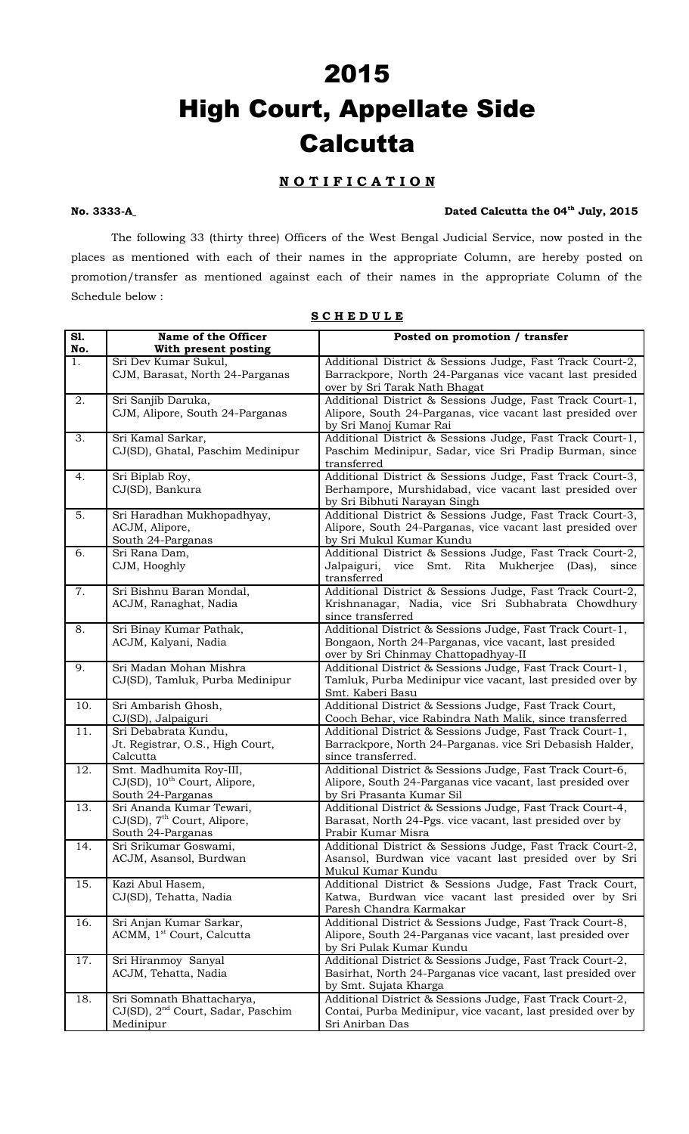# 2015 High Court, Appellate Side **Calcutta**

# **N O T I F I C A T I O N**

#### No. 3333-A<sub></sub> Dated Calcutta the 04<sup>th</sup> July, 2015

The following 33 (thirty three) Officers of the West Bengal Judicial Service, now posted in the places as mentioned with each of their names in the appropriate Column, are hereby posted on promotion/transfer as mentioned against each of their names in the appropriate Column of the Schedule below :

| $\overline{S1}$ . | Name of the Officer                           | Posted on promotion / transfer                                                                    |
|-------------------|-----------------------------------------------|---------------------------------------------------------------------------------------------------|
| No.               | With present posting                          |                                                                                                   |
| 1.                | Sri Dev Kumar Sukul,                          | Additional District & Sessions Judge, Fast Track Court-2,                                         |
|                   | CJM, Barasat, North 24-Parganas               | Barrackpore, North 24-Parganas vice vacant last presided                                          |
|                   |                                               | over by Sri Tarak Nath Bhagat                                                                     |
| 2.                | Sri Sanjib Daruka,                            | Additional District & Sessions Judge, Fast Track Court-1,                                         |
|                   | CJM, Alipore, South 24-Parganas               | Alipore, South 24-Parganas, vice vacant last presided over                                        |
|                   |                                               | by Sri Manoj Kumar Rai                                                                            |
| 3.                | Sri Kamal Sarkar,                             | Additional District & Sessions Judge, Fast Track Court-1,                                         |
|                   | CJ(SD), Ghatal, Paschim Medinipur             | Paschim Medinipur, Sadar, vice Sri Pradip Burman, since                                           |
|                   |                                               | transferred                                                                                       |
| 4.                | Sri Biplab Roy,                               | Additional District & Sessions Judge, Fast Track Court-3,                                         |
|                   | CJ(SD), Bankura                               | Berhampore, Murshidabad, vice vacant last presided over                                           |
|                   |                                               | by Sri Bibhuti Narayan Singh                                                                      |
| 5.                | Sri Haradhan Mukhopadhyay,                    | Additional District & Sessions Judge, Fast Track Court-3,                                         |
|                   | ACJM, Alipore,                                | Alipore, South 24-Parganas, vice vacant last presided over                                        |
|                   | South 24-Parganas                             | by Sri Mukul Kumar Kundu                                                                          |
| 6.                | Sri Rana Dam,                                 | Additional District & Sessions Judge, Fast Track Court-2,                                         |
|                   | CJM, Hooghly                                  | Jalpaiguri,<br>Smt.<br>Rita Mukherjee<br>vice<br>(Das),<br>since                                  |
|                   |                                               | transferred                                                                                       |
| 7.                | Sri Bishnu Baran Mondal,                      | Additional District & Sessions Judge, Fast Track Court-2,                                         |
|                   | ACJM, Ranaghat, Nadia                         | Krishnanagar, Nadia, vice Sri Subhabrata Chowdhury                                                |
|                   |                                               | since transferred                                                                                 |
| 8.                | Sri Binay Kumar Pathak,                       | Additional District & Sessions Judge, Fast Track Court-1,                                         |
|                   | ACJM, Kalyani, Nadia                          | Bongaon, North 24-Parganas, vice vacant, last presided                                            |
| 9.                | Sri Madan Mohan Mishra                        | over by Sri Chinmay Chattopadhyay-II<br>Additional District & Sessions Judge, Fast Track Court-1, |
|                   | CJ(SD), Tamluk, Purba Medinipur               | Tamluk, Purba Medinipur vice vacant, last presided over by                                        |
|                   |                                               | Smt. Kaberi Basu                                                                                  |
| 10.               | Sri Ambarish Ghosh,                           | Additional District & Sessions Judge, Fast Track Court,                                           |
|                   | CJ(SD), Jalpaiguri                            | Cooch Behar, vice Rabindra Nath Malik, since transferred                                          |
| 11.               | Sri Debabrata Kundu,                          | Additional District & Sessions Judge, Fast Track Court-1,                                         |
|                   | Jt. Registrar, O.S., High Court,              | Barrackpore, North 24-Parganas. vice Sri Debasish Halder,                                         |
|                   | Calcutta                                      | since transferred.                                                                                |
| 12.               | Smt. Madhumita Roy-III,                       | Additional District & Sessions Judge, Fast Track Court-6,                                         |
|                   | CJ(SD), 10 <sup>th</sup> Court, Alipore,      | Alipore, South 24-Parganas vice vacant, last presided over                                        |
|                   | South 24-Parganas                             | by Sri Prasanta Kumar Sil                                                                         |
| 13.               | Sri Ananda Kumar Tewari,                      | Additional District & Sessions Judge, Fast Track Court-4,                                         |
|                   | CJ(SD), 7 <sup>th</sup> Court, Alipore,       | Barasat, North 24-Pgs. vice vacant, last presided over by                                         |
|                   | South 24-Parganas                             | Prabir Kumar Misra                                                                                |
| 14.               | Sri Srikumar Goswami,                         | Additional District & Sessions Judge, Fast Track Court-2,                                         |
|                   | ACJM, Asansol, Burdwan                        | Asansol, Burdwan vice vacant last presided over by Sri                                            |
|                   |                                               | Mukul Kumar Kundu                                                                                 |
| 15.               | Kazi Abul Hasem,                              | Additional District & Sessions Judge, Fast Track Court,                                           |
|                   | CJ(SD), Tehatta, Nadia                        | Katwa, Burdwan vice vacant last presided over by Sri                                              |
|                   |                                               | Paresh Chandra Karmakar                                                                           |
| 16.               | Sri Anjan Kumar Sarkar,                       | Additional District & Sessions Judge, Fast Track Court-8,                                         |
|                   | ACMM, 1 <sup>st</sup> Court, Calcutta         | Alipore, South 24-Parganas vice vacant, last presided over                                        |
|                   |                                               | by Sri Pulak Kumar Kundu                                                                          |
| 17.               | Sri Hiranmoy Sanyal                           | Additional District & Sessions Judge, Fast Track Court-2,                                         |
|                   | ACJM, Tehatta, Nadia                          | Basirhat, North 24-Parganas vice vacant, last presided over                                       |
|                   |                                               | by Smt. Sujata Kharga                                                                             |
| 18.               | Sri Somnath Bhattacharya,                     | Additional District & Sessions Judge, Fast Track Court-2,                                         |
|                   | CJ(SD), 2 <sup>nd</sup> Court, Sadar, Paschim | Contai, Purba Medinipur, vice vacant, last presided over by                                       |
|                   | Medinipur                                     | Sri Anirban Das                                                                                   |

#### **S C H E D U L E**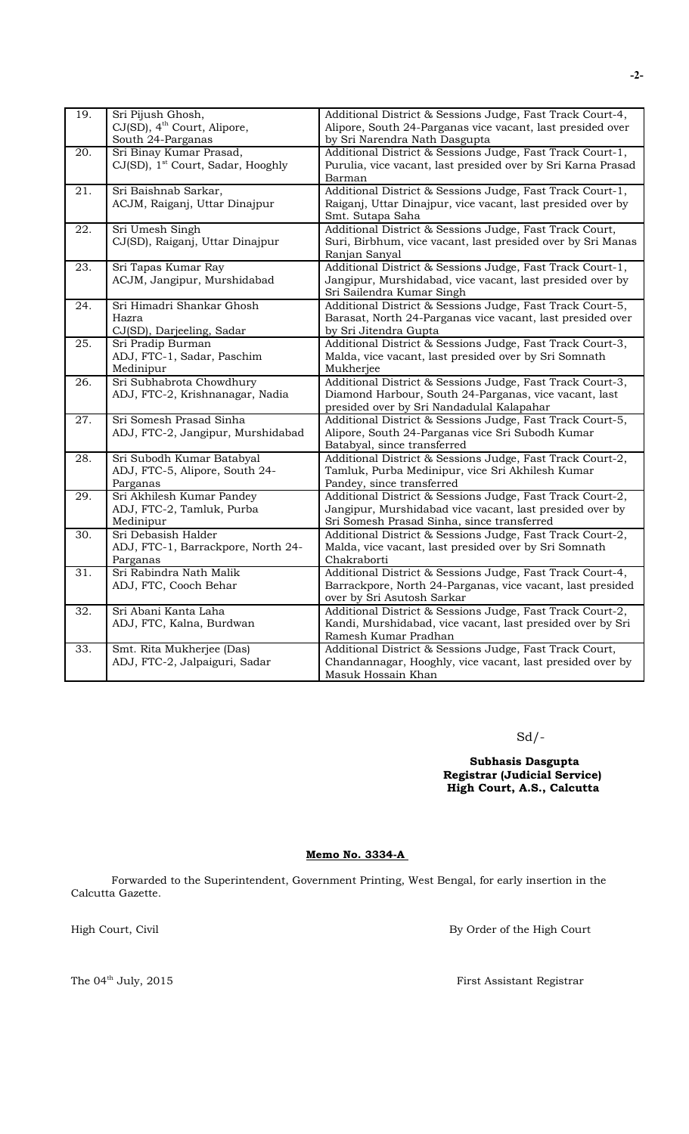| 19. | Sri Pijush Ghosh,                             | Additional District & Sessions Judge, Fast Track Court-4,    |
|-----|-----------------------------------------------|--------------------------------------------------------------|
|     | CJ(SD), 4 <sup>th</sup> Court, Alipore,       | Alipore, South 24-Parganas vice vacant, last presided over   |
|     | South 24-Parganas                             | by Sri Narendra Nath Dasgupta                                |
| 20. | Sri Binay Kumar Prasad,                       | Additional District & Sessions Judge, Fast Track Court-1,    |
|     | CJ(SD), 1 <sup>st</sup> Court, Sadar, Hooghly | Purulia, vice vacant, last presided over by Sri Karna Prasad |
|     |                                               | Barman                                                       |
| 21. | Sri Baishnab Sarkar,                          | Additional District & Sessions Judge, Fast Track Court-1,    |
|     | ACJM, Raiganj, Uttar Dinajpur                 | Raiganj, Uttar Dinajpur, vice vacant, last presided over by  |
|     |                                               | Smt. Sutapa Saha                                             |
| 22. | Sri Umesh Singh                               | Additional District & Sessions Judge, Fast Track Court,      |
|     | CJ(SD), Raiganj, Uttar Dinajpur               | Suri, Birbhum, vice vacant, last presided over by Sri Manas  |
|     |                                               | Ranjan Sanyal                                                |
| 23. | Sri Tapas Kumar Ray                           | Additional District & Sessions Judge, Fast Track Court-1,    |
|     | ACJM, Jangipur, Murshidabad                   | Jangipur, Murshidabad, vice vacant, last presided over by    |
|     |                                               | Sri Sailendra Kumar Singh                                    |
| 24. | Sri Himadri Shankar Ghosh                     | Additional District & Sessions Judge, Fast Track Court-5,    |
|     | Hazra                                         | Barasat, North 24-Parganas vice vacant, last presided over   |
|     | CJ(SD), Darjeeling, Sadar                     | by Sri Jitendra Gupta                                        |
| 25. | Sri Pradip Burman                             | Additional District & Sessions Judge, Fast Track Court-3,    |
|     | ADJ, FTC-1, Sadar, Paschim                    | Malda, vice vacant, last presided over by Sri Somnath        |
|     | Medinipur                                     | Mukherjee                                                    |
| 26. | Sri Subhabrota Chowdhury                      | Additional District & Sessions Judge, Fast Track Court-3,    |
|     | ADJ, FTC-2, Krishnanagar, Nadia               | Diamond Harbour, South 24-Parganas, vice vacant, last        |
|     |                                               | presided over by Sri Nandadulal Kalapahar                    |
| 27. | Sri Somesh Prasad Sinha                       | Additional District & Sessions Judge, Fast Track Court-5,    |
|     | ADJ, FTC-2, Jangipur, Murshidabad             | Alipore, South 24-Parganas vice Sri Subodh Kumar             |
|     |                                               | Batabyal, since transferred                                  |
| 28. | Sri Subodh Kumar Batabyal                     | Additional District & Sessions Judge, Fast Track Court-2,    |
|     | ADJ, FTC-5, Alipore, South 24-                | Tamluk, Purba Medinipur, vice Sri Akhilesh Kumar             |
|     | Parganas                                      | Pandey, since transferred                                    |
| 29. | Sri Akhilesh Kumar Pandey                     | Additional District & Sessions Judge, Fast Track Court-2,    |
|     | ADJ, FTC-2, Tamluk, Purba                     | Jangipur, Murshidabad vice vacant, last presided over by     |
|     | Medinipur                                     | Sri Somesh Prasad Sinha, since transferred                   |
| 30. | Sri Debasish Halder                           | Additional District & Sessions Judge, Fast Track Court-2,    |
|     | ADJ, FTC-1, Barrackpore, North 24-            | Malda, vice vacant, last presided over by Sri Somnath        |
|     | Parganas                                      | Chakraborti                                                  |
| 31. | Sri Rabindra Nath Malik                       | Additional District & Sessions Judge, Fast Track Court-4,    |
|     | ADJ, FTC, Cooch Behar                         | Barrackpore, North 24-Parganas, vice vacant, last presided   |
|     |                                               | over by Sri Asutosh Sarkar                                   |
| 32. | Sri Abani Kanta Laha                          | Additional District & Sessions Judge, Fast Track Court-2,    |
|     | ADJ, FTC, Kalna, Burdwan                      | Kandi, Murshidabad, vice vacant, last presided over by Sri   |
|     |                                               | Ramesh Kumar Pradhan                                         |
| 33. | Smt. Rita Mukherjee (Das)                     | Additional District & Sessions Judge, Fast Track Court,      |
|     | ADJ, FTC-2, Jalpaiguri, Sadar                 | Chandannagar, Hooghly, vice vacant, last presided over by    |
|     |                                               | Masuk Hossain Khan                                           |

## Sd/-

 **Subhasis Dasgupta Registrar (Judicial Service) High Court, A.S., Calcutta**

### **Memo No. 3334-A**

Forwarded to the Superintendent, Government Printing, West Bengal, for early insertion in the Calcutta Gazette.

High Court, Civil By Order of the High Court

The  $04^{\text{th}}$  July, 2015  $$\rm{First\,Assistant\,q}$